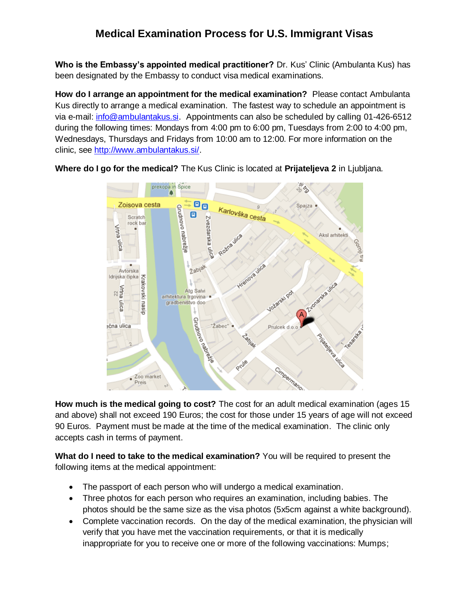# **Medical Examination Process for U.S. Immigrant Visas**

**Who is the Embassy's appointed medical practitioner?** Dr. Kus' Clinic (Ambulanta Kus) has been designated by the Embassy to conduct visa medical examinations.

**How do I arrange an appointment for the medical examination?** Please contact Ambulanta Kus directly to arrange a medical examination. The fastest way to schedule an appointment is via e-mail: [info@ambulantakus.si.](mailto:info@ambulantakus.si) Appointments can also be scheduled by calling 01-426-6512 during the following times: Mondays from 4:00 pm to 6:00 pm, Tuesdays from 2:00 to 4:00 pm, Wednesdays, Thursdays and Fridays from 10:00 am to 12:00. For more information on the clinic, see [http://www.ambulantakus.si/.](http://www.ambulantakus.si/)



**Where do I go for the medical?** The Kus Clinic is located at **Prijateljeva 2** in Ljubljana.

**How much is the medical going to cost?** The cost for an adult medical examination (ages 15 and above) shall not exceed 190 Euros; the cost for those under 15 years of age will not exceed 90 Euros. Payment must be made at the time of the medical examination. The clinic only accepts cash in terms of payment.

**What do I need to take to the medical examination?** You will be required to present the following items at the medical appointment:

- The passport of each person who will undergo a medical examination.
- Three photos for each person who requires an examination, including babies. The photos should be the same size as the visa photos (5x5cm against a white background).
- Complete vaccination records. On the day of the medical examination, the physician will verify that you have met the vaccination requirements, or that it is medically inappropriate for you to receive one or more of the following vaccinations: Mumps;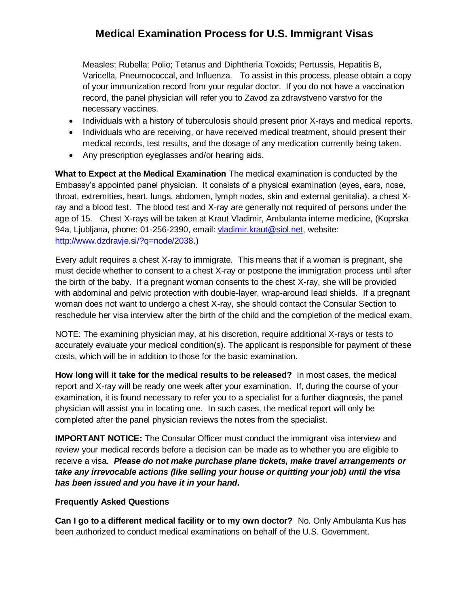# **Medical Examination Process for U.S. Immigrant Visas**

Measles; Rubella; Polio; Tetanus and Diphtheria Toxoids; Pertussis, Hepatitis B, Varicella, Pneumococcal, and Influenza. To assist in this process, please obtain a copy of your immunization record from your regular doctor. If you do not have a vaccination record, the panel physician will refer you to Zavod za zdravstveno varstvo for the necessary vaccines.

- Individuals with a history of tuberculosis should present prior X-rays and medical reports.
- Individuals who are receiving, or have received medical treatment, should present their medical records, test results, and the dosage of any medication currently being taken.
- Any prescription eyeglasses and/or hearing aids.

**What to Expect at the Medical Examination** The medical examination is conducted by the Embassy's appointed panel physician. It consists of a physical examination (eyes, ears, nose, throat, extremities, heart, lungs, abdomen, lymph nodes, skin and external genitalia), a chest Xray and a blood test. The blood test and X-ray are generally not required of persons under the age of 15. Chest X-rays will be taken at Kraut Vladimir, Ambulanta interne medicine, (Koprska 94a, Ljubljana, phone: 01-256-2390, email: [vladimir.kraut@siol.net,](mailto:vladimir.kraut@siol.net) website: [http://www.dzdravje.si/?q=node/2038.](http://www.dzdravje.si/?q=node/2038))

Every adult requires a chest X-ray to immigrate. This means that if a woman is pregnant, she must decide whether to consent to a chest X-ray or postpone the immigration process until after the birth of the baby. If a pregnant woman consents to the chest X-ray, she will be provided with abdominal and pelvic protection with double-layer, wrap-around lead shields. If a pregnant woman does not want to undergo a chest X-ray, she should contact the Consular Section to reschedule her visa interview after the birth of the child and the completion of the medical exam.

NOTE: The examining physician may, at his discretion, require additional X-rays or tests to accurately evaluate your medical condition(s). The applicant is responsible for payment of these costs, which will be in addition to those for the basic examination.

**How long will it take for the medical results to be released?** In most cases, the medical report and X-ray will be ready one week after your examination. If, during the course of your examination, it is found necessary to refer you to a specialist for a further diagnosis, the panel physician will assist you in locating one. In such cases, the medical report will only be completed after the panel physician reviews the notes from the specialist.

**IMPORTANT NOTICE:** The Consular Officer must conduct the immigrant visa interview and review your medical records before a decision can be made as to whether you are eligible to receive a visa. *Please do not make purchase plane tickets, make travel arrangements or take any irrevocable actions (like selling your house or quitting your job) until the visa has been issued and you have it in your hand.*

### **Frequently Asked Questions**

**Can I go to a different medical facility or to my own doctor?** No. Only Ambulanta Kus has been authorized to conduct medical examinations on behalf of the U.S. Government.